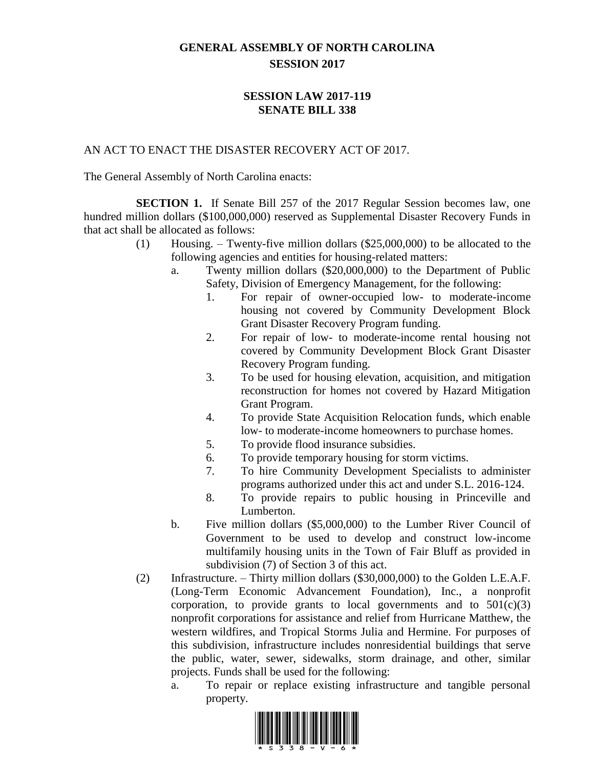## **GENERAL ASSEMBLY OF NORTH CAROLINA SESSION 2017**

## **SESSION LAW 2017-119 SENATE BILL 338**

## AN ACT TO ENACT THE DISASTER RECOVERY ACT OF 2017.

The General Assembly of North Carolina enacts:

**SECTION 1.** If Senate Bill 257 of the 2017 Regular Session becomes law, one hundred million dollars (\$100,000,000) reserved as Supplemental Disaster Recovery Funds in that act shall be allocated as follows:

- (1) Housing. Twenty-five million dollars (\$25,000,000) to be allocated to the following agencies and entities for housing-related matters:
	- a. Twenty million dollars (\$20,000,000) to the Department of Public Safety, Division of Emergency Management, for the following:
		- 1. For repair of owner-occupied low- to moderate-income housing not covered by Community Development Block Grant Disaster Recovery Program funding.
		- 2. For repair of low- to moderate-income rental housing not covered by Community Development Block Grant Disaster Recovery Program funding.
		- 3. To be used for housing elevation, acquisition, and mitigation reconstruction for homes not covered by Hazard Mitigation Grant Program.
		- 4. To provide State Acquisition Relocation funds, which enable low- to moderate-income homeowners to purchase homes.
		- 5. To provide flood insurance subsidies.
		- 6. To provide temporary housing for storm victims.
		- 7. To hire Community Development Specialists to administer programs authorized under this act and under S.L. 2016-124.
		- 8. To provide repairs to public housing in Princeville and Lumberton.
	- b. Five million dollars (\$5,000,000) to the Lumber River Council of Government to be used to develop and construct low-income multifamily housing units in the Town of Fair Bluff as provided in subdivision (7) of Section 3 of this act.
- (2) Infrastructure. Thirty million dollars (\$30,000,000) to the Golden L.E.A.F. (Long-Term Economic Advancement Foundation), Inc., a nonprofit corporation, to provide grants to local governments and to  $501(c)(3)$ nonprofit corporations for assistance and relief from Hurricane Matthew, the western wildfires, and Tropical Storms Julia and Hermine. For purposes of this subdivision, infrastructure includes nonresidential buildings that serve the public, water, sewer, sidewalks, storm drainage, and other, similar projects. Funds shall be used for the following:
	- a. To repair or replace existing infrastructure and tangible personal property.

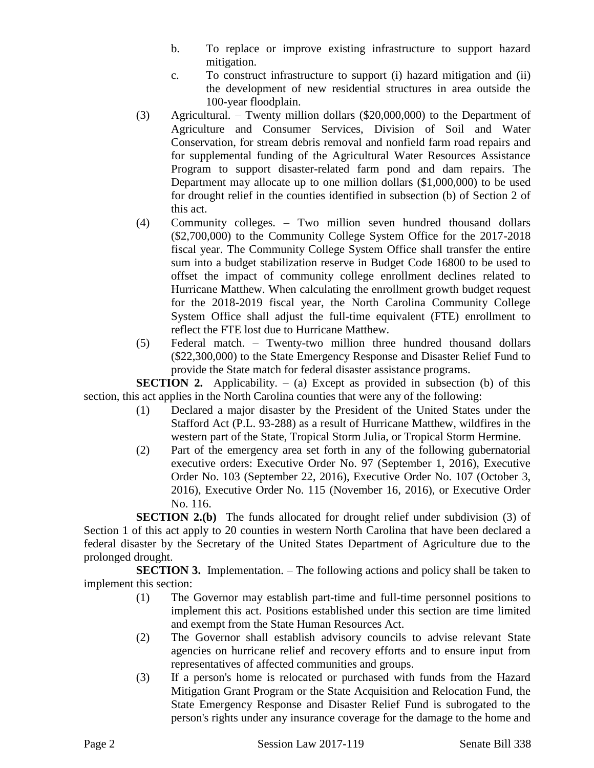- b. To replace or improve existing infrastructure to support hazard mitigation.
- c. To construct infrastructure to support (i) hazard mitigation and (ii) the development of new residential structures in area outside the 100-year floodplain.
- (3) Agricultural. Twenty million dollars (\$20,000,000) to the Department of Agriculture and Consumer Services, Division of Soil and Water Conservation, for stream debris removal and nonfield farm road repairs and for supplemental funding of the Agricultural Water Resources Assistance Program to support disaster-related farm pond and dam repairs. The Department may allocate up to one million dollars (\$1,000,000) to be used for drought relief in the counties identified in subsection (b) of Section 2 of this act.
- (4) Community colleges. Two million seven hundred thousand dollars (\$2,700,000) to the Community College System Office for the 2017-2018 fiscal year. The Community College System Office shall transfer the entire sum into a budget stabilization reserve in Budget Code 16800 to be used to offset the impact of community college enrollment declines related to Hurricane Matthew. When calculating the enrollment growth budget request for the 2018-2019 fiscal year, the North Carolina Community College System Office shall adjust the full-time equivalent (FTE) enrollment to reflect the FTE lost due to Hurricane Matthew.
- (5) Federal match. Twenty-two million three hundred thousand dollars (\$22,300,000) to the State Emergency Response and Disaster Relief Fund to provide the State match for federal disaster assistance programs.

**SECTION 2.** Applicability.  $-$  (a) Except as provided in subsection (b) of this section, this act applies in the North Carolina counties that were any of the following:

- (1) Declared a major disaster by the President of the United States under the Stafford Act (P.L. 93-288) as a result of Hurricane Matthew, wildfires in the western part of the State, Tropical Storm Julia, or Tropical Storm Hermine.
- (2) Part of the emergency area set forth in any of the following gubernatorial executive orders: Executive Order No. 97 (September 1, 2016), Executive Order No. 103 (September 22, 2016), Executive Order No. 107 (October 3, 2016), Executive Order No. 115 (November 16, 2016), or Executive Order No. 116.

**SECTION 2.(b)** The funds allocated for drought relief under subdivision (3) of Section 1 of this act apply to 20 counties in western North Carolina that have been declared a federal disaster by the Secretary of the United States Department of Agriculture due to the prolonged drought.

**SECTION 3.** Implementation. – The following actions and policy shall be taken to implement this section:

- (1) The Governor may establish part-time and full-time personnel positions to implement this act. Positions established under this section are time limited and exempt from the State Human Resources Act.
- (2) The Governor shall establish advisory councils to advise relevant State agencies on hurricane relief and recovery efforts and to ensure input from representatives of affected communities and groups.
- (3) If a person's home is relocated or purchased with funds from the Hazard Mitigation Grant Program or the State Acquisition and Relocation Fund, the State Emergency Response and Disaster Relief Fund is subrogated to the person's rights under any insurance coverage for the damage to the home and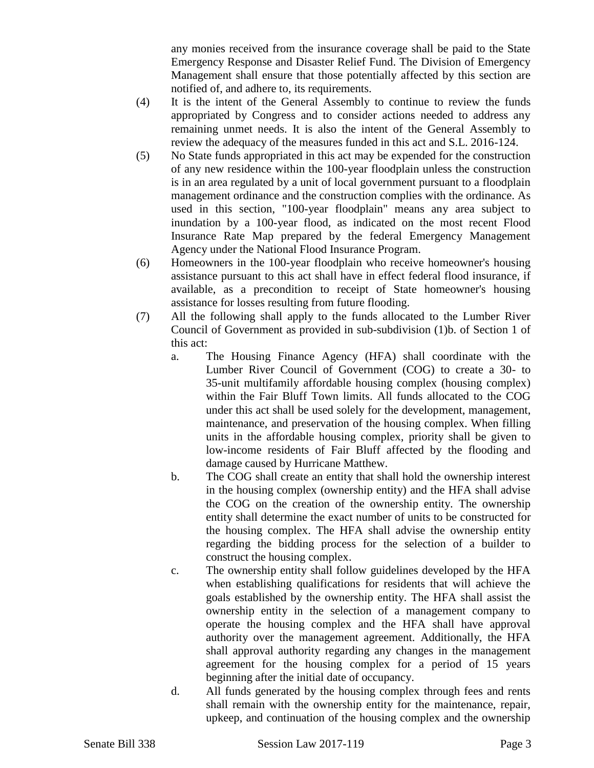any monies received from the insurance coverage shall be paid to the State Emergency Response and Disaster Relief Fund. The Division of Emergency Management shall ensure that those potentially affected by this section are notified of, and adhere to, its requirements.

- (4) It is the intent of the General Assembly to continue to review the funds appropriated by Congress and to consider actions needed to address any remaining unmet needs. It is also the intent of the General Assembly to review the adequacy of the measures funded in this act and S.L. 2016-124.
- (5) No State funds appropriated in this act may be expended for the construction of any new residence within the 100-year floodplain unless the construction is in an area regulated by a unit of local government pursuant to a floodplain management ordinance and the construction complies with the ordinance. As used in this section, "100-year floodplain" means any area subject to inundation by a 100-year flood, as indicated on the most recent Flood Insurance Rate Map prepared by the federal Emergency Management Agency under the National Flood Insurance Program.
- (6) Homeowners in the 100-year floodplain who receive homeowner's housing assistance pursuant to this act shall have in effect federal flood insurance, if available, as a precondition to receipt of State homeowner's housing assistance for losses resulting from future flooding.
- (7) All the following shall apply to the funds allocated to the Lumber River Council of Government as provided in sub-subdivision (1)b. of Section 1 of this act:
	- a. The Housing Finance Agency (HFA) shall coordinate with the Lumber River Council of Government (COG) to create a 30- to 35-unit multifamily affordable housing complex (housing complex) within the Fair Bluff Town limits. All funds allocated to the COG under this act shall be used solely for the development, management, maintenance, and preservation of the housing complex. When filling units in the affordable housing complex, priority shall be given to low-income residents of Fair Bluff affected by the flooding and damage caused by Hurricane Matthew.
	- b. The COG shall create an entity that shall hold the ownership interest in the housing complex (ownership entity) and the HFA shall advise the COG on the creation of the ownership entity. The ownership entity shall determine the exact number of units to be constructed for the housing complex. The HFA shall advise the ownership entity regarding the bidding process for the selection of a builder to construct the housing complex.
	- c. The ownership entity shall follow guidelines developed by the HFA when establishing qualifications for residents that will achieve the goals established by the ownership entity. The HFA shall assist the ownership entity in the selection of a management company to operate the housing complex and the HFA shall have approval authority over the management agreement. Additionally, the HFA shall approval authority regarding any changes in the management agreement for the housing complex for a period of 15 years beginning after the initial date of occupancy.
	- d. All funds generated by the housing complex through fees and rents shall remain with the ownership entity for the maintenance, repair, upkeep, and continuation of the housing complex and the ownership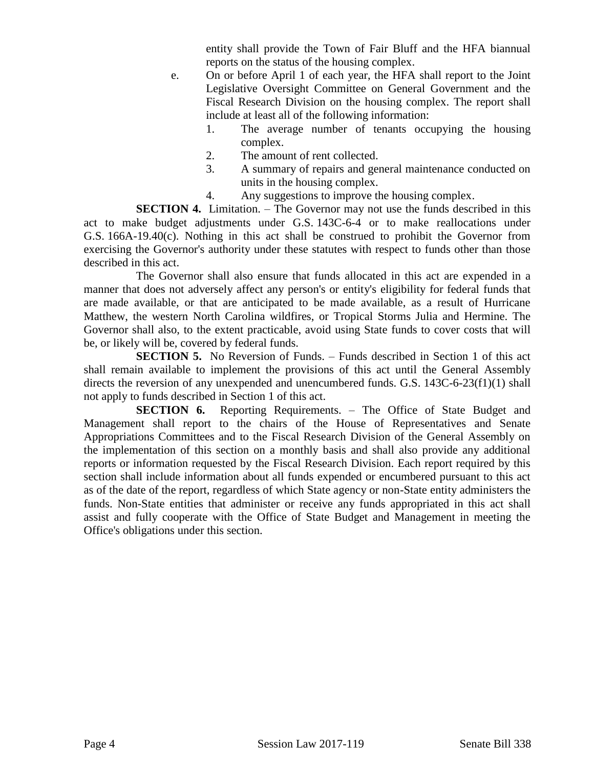entity shall provide the Town of Fair Bluff and the HFA biannual reports on the status of the housing complex.

- e. On or before April 1 of each year, the HFA shall report to the Joint Legislative Oversight Committee on General Government and the Fiscal Research Division on the housing complex. The report shall include at least all of the following information:
	- 1. The average number of tenants occupying the housing complex.
	- 2. The amount of rent collected.
	- 3. A summary of repairs and general maintenance conducted on units in the housing complex.
	- 4. Any suggestions to improve the housing complex.

**SECTION 4.** Limitation. – The Governor may not use the funds described in this act to make budget adjustments under G.S. 143C-6-4 or to make reallocations under G.S. 166A-19.40(c). Nothing in this act shall be construed to prohibit the Governor from exercising the Governor's authority under these statutes with respect to funds other than those described in this act.

The Governor shall also ensure that funds allocated in this act are expended in a manner that does not adversely affect any person's or entity's eligibility for federal funds that are made available, or that are anticipated to be made available, as a result of Hurricane Matthew, the western North Carolina wildfires, or Tropical Storms Julia and Hermine. The Governor shall also, to the extent practicable, avoid using State funds to cover costs that will be, or likely will be, covered by federal funds.

**SECTION 5.** No Reversion of Funds. – Funds described in Section 1 of this act shall remain available to implement the provisions of this act until the General Assembly directs the reversion of any unexpended and unencumbered funds. G.S. 143C-6-23(f1)(1) shall not apply to funds described in Section 1 of this act.

**SECTION 6.** Reporting Requirements. – The Office of State Budget and Management shall report to the chairs of the House of Representatives and Senate Appropriations Committees and to the Fiscal Research Division of the General Assembly on the implementation of this section on a monthly basis and shall also provide any additional reports or information requested by the Fiscal Research Division. Each report required by this section shall include information about all funds expended or encumbered pursuant to this act as of the date of the report, regardless of which State agency or non-State entity administers the funds. Non-State entities that administer or receive any funds appropriated in this act shall assist and fully cooperate with the Office of State Budget and Management in meeting the Office's obligations under this section.